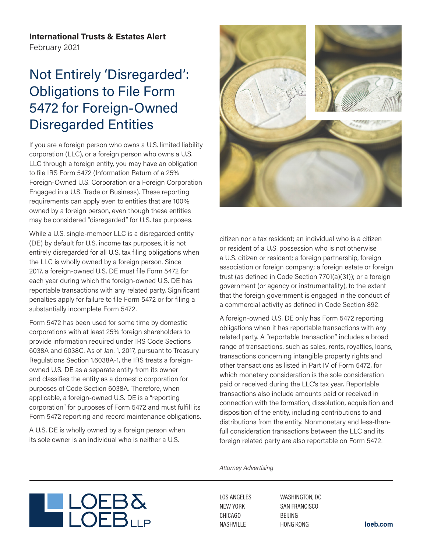**International Trusts & Estates Alert** February 2021

## Not Entirely 'Disregarded': Obligations to File Form 5472 for Foreign-Owned Disregarded Entities

If you are a foreign person who owns a U.S. limited liability corporation (LLC), or a foreign person who owns a U.S. LLC through a foreign entity, you may have an obligation to file IRS Form 5472 (Information Return of a 25% Foreign-Owned U.S. Corporation or a Foreign Corporation Engaged in a U.S. Trade or Business). These reporting requirements can apply even to entities that are 100% owned by a foreign person, even though these entities may be considered "disregarded" for U.S. tax purposes.

While a U.S. single-member LLC is a disregarded entity (DE) by default for U.S. income tax purposes, it is not entirely disregarded for all U.S. tax filing obligations when the LLC is wholly owned by a foreign person. Since 2017, a foreign-owned U.S. DE must file Form 5472 for each year during which the foreign-owned U.S. DE has reportable transactions with any related party. Significant penalties apply for failure to file Form 5472 or for filing a substantially incomplete Form 5472.

Form 5472 has been used for some time by domestic corporations with at least 25% foreign shareholders to provide information required under IRS Code Sections 6038A and 6038C. As of Jan. 1, 2017, pursuant to Treasury Regulations Section 1.6038A-1, the IRS treats a foreignowned U.S. DE as a separate entity from its owner and classifies the entity as a domestic corporation for purposes of Code Section 6038A. Therefore, when applicable, a foreign-owned U.S. DE is a "reporting corporation" for purposes of Form 5472 and must fulfill its Form 5472 reporting and record maintenance obligations.

A U.S. DE is wholly owned by a foreign person when its sole owner is an individual who is neither a U.S.

LOEB



citizen nor a tax resident; an individual who is a citizen or resident of a U.S. possession who is not otherwise a U.S. citizen or resident; a foreign partnership, foreign association or foreign company; a foreign estate or foreign trust (as defined in Code Section 7701(a)(31)); or a foreign government (or agency or instrumentality), to the extent that the foreign government is engaged in the conduct of a commercial activity as defined in Code Section 892.

A foreign-owned U.S. DE only has Form 5472 reporting obligations when it has reportable transactions with any related party. A "reportable transaction" includes a broad range of transactions, such as sales, rents, royalties, loans, transactions concerning intangible property rights and other transactions as listed in Part IV of Form 5472, for which monetary consideration is the sole consideration paid or received during the LLC's tax year. Reportable transactions also include amounts paid or received in connection with the formation, dissolution, acquisition and disposition of the entity, including contributions to and distributions from the entity. Nonmonetary and less-thanfull consideration transactions between the LLC and its foreign related party are also reportable on Form 5472.

*Attorney Advertising*

LOS ANGELES NEW YORK CHICAGO NASHVILLE

WASHINGTON, DC SAN FRANCISCO BEIJING HONG KONG **loeb.com**